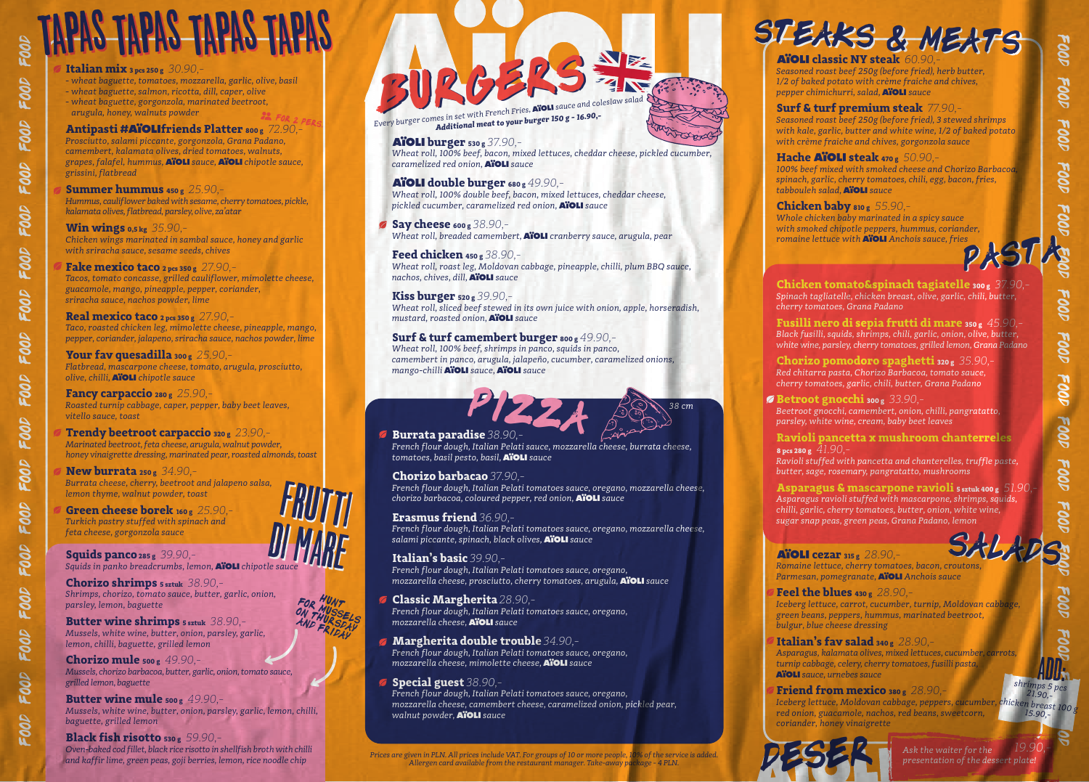# tapas tapas tapas tapastapas tapastapas tapas

**Italian mix 3 pcs 250 g** *30.90,-*

*- wheat baguette, tomatoes, mozzarella, garlic, olive, basil - wheat baguette, salmon, ricotta, dill, caper, olive*

*- wheat baguette, gorgonzola, marinated beetroot, arugula, honey, walnuts powder* 

**Antipasti #Aiolifriends Platter 800 g** *72.90,- Prosciutto, salami piccante, gorgonzola, Grana Padano, camembert, kalamata olives, dried tomatoes, walnuts, grapes, falafel, hummus, Aioli sauce, Aioli chipotle sauce, grissini, flatbread*

**Summer hummus 450 g** *25.90,- Hummus, cauliflower baked with sesame, cherry tomatoes, pickle, kalamata olives, flatbread, parsley, olive, za'atar* 

**Win wings 0,5 kg** *35.90,- Chicken wings marinated in sambal sauce, honey and garlic with sriracha sauce, sesame seeds, chives* 

**Fake mexico taco 2 pcs 350 g** *27.90,- Tacos, tomato concasse, grilled cauliflower, mimolette cheese, guacamole, mango, pineapple, pepper, coriander, sriracha sauce, nachos powder, lime*

**Real mexico taco 2 pcs 350 g** *27.90,- Taco, roasted chicken leg, mimolette cheese, pineapple, mango, pepper, coriander, jalapeno, sriracha sauce, nachos powder, lime*

**Your fav quesadilla 300 g** *25.90,- Flatbread, mascarpone cheese, tomato, arugula, prosciutto, olive, chilli, Aioli chipotle sauce*

**Fancy carpaccio 280 g** *25.90,- Roasted turnip cabbage, caper, pepper, baby beet leaves, vitello sauce, toast*

**Trendy beetroot carpaccio 320 g** *23.90,- Marinated beetroot, feta cheese, arugula, walnut powder, honey vinaigrette dressing, marinated pear, roasted almonds, toast*

**New burrata 250 g** *34.90,- Burrata cheese, cherry, beetroot and jalapeno salsa, lemon thyme, walnut powder, toast*

**Green cheese borek 160 g** *25.90,- Turkich pastry stuffed with spinach and feta cheese, gorgonzola sauce* 

**food food food food food food food food food food food food food food food food food**

FOOD

FOOD

FOOD

FOOD

FOOD

FOOD

FOOD

FOOD

FOOD

FOOD

FOOD

FOOD

FOOD

FOOD

FOOD

FOOD

FOOD

**Squids panco 285 g** *39.90,- Squids in panko breadcrumbs, lemon, Aioli chipotle sauce* 

**Chorizo shrimps 5 sztuk** *38.90,- Shrimps, chorizo, tomato sauce, butter, garlic, onion, parsley, lemon, baguette* 

**Butter wine shrimps 5 sztuk** *38.90,- Mussels, white wine, butter, onion, parsley, garlic, lemon, chilli, baguette, grilled lemon*

**Chorizo mule 500 g** *49.90,- Mussels, chorizo barbacoa, butter, garlic, onion, tomato sauce, grilled lemon, baguette* 

**Butter wine mule 500 g** *49.90,- Mussels, white wine, butter, onion, parsley, garlic, lemon, chilli, baguette, grilled lemon*

## **Black fish risotto 530 g** *59.90,- Oven-baked cod fillet, black rice risotto in shellfish broth with chilli and kaffir lime, green peas, goji berries, lemon, rice noodle chip*

*Every burger comes in set with French Fries, Aioli sauce and coleslaw salad* **burgers burgers burgers burgers burgers burgers burgers burgers burgers burgers burgers burgers burgers burgers burgers burgers burgers burgers burgers burgers burgers burgers b** *Additional meat to your burger 150 g - 16.90,-*

**Aioli burger 530 g** *37.90,- Wheat roll, 100% beef, bacon, mixed lettuces, cheddar cheese, pickled cucumber, caramelized red onion, Aioli sauce*

**Aioli double burger 680 g** *49.90,- Wheat roll, 100% double beef, bacon, mixed lettuces, cheddar cheese, pickled cucumber, caramelized red onion, Aioli sauce*

**Say cheese 600 g** *38.90,- Wheat roll, breaded camembert, Aioli cranberry sauce, arugula, pear*

**Feed chicken 450 g** *38.90,- Wheat roll, roast leg, Moldovan cabbage, pineapple, chilli, plum BBQ sauce, nachos, chives, dill, Aioli sauce*

**Kiss burger 520 g** *39.90,- Wheat roll, sliced beef stewed in its own juice with onion, apple, horseradish, mustard, roasted onion, Aioli sauce*

## **Surf & turf camembert burger 800 g** *49.90,-*

*Wheat roll, 100% beef, shrimps in panco, squids in panco, camembert in panco, arugula, jalapeño, cucumber, caramelized onions, mango-chilli Aioli sauce, Aioli sauce* 



**Burrata paradise** *38.90,- French flour dough, Italian Pelati sauce, mozzarella cheese, burrata cheese, tomatoes, basil pesto, basil, Aioli sauce* 

## **Chorizo barbacao** *37.90,-*

*French flour dough, Italian Pelati tomatoes sauce, oregano, mozzarella cheese, chorizo barbacoa, coloured pepper, red onion, Aioli sauce* 

**Erasmus friend** *36.90,- French flour dough, Italian Pelati tomatoes sauce, oregano, mozzarella cheese, salami piccante, spinach, black olives, Aioli sauce*

**Italian's basic** *39.90,- French flour dough, Italian Pelati tomatoes sauce, oregano, mozzarella cheese, prosciutto, cherry tomatoes, arugula, Aioli sauce* 

**Classic Margherita** *28.90,-*

*French flour dough, Italian Pelati tomatoes sauce, oregano, mozzarella cheese, Aioli sauce*

**Margherita double trouble** *34.90,-*

*French flour dough, Italian Pelati tomatoes sauce, oregano, mozzarella cheese, mimolette cheese, Aioli sauce*

**Special guest** *38.90,-*

*French flour dough, Italian Pelati tomatoes sauce, oregano, mozzarella cheese, camembert cheese, caramelized onion, pickled pear, walnut powder, Aioli sauce* 

*Prices are given in PLN. All prices include VAT. For groups of 10 or more people, 10% of the service is added. Allergen card available from the restaurant manager. Take-away package - 4 PLN.*

## **steaks & meats steaks & meats**

**Aioli classic NY steak** *60.90,- Seasoned roast beef 250g (before fried), herb butter, 1/2 of baked potato with crème fraiche and chives, pepper chimichurri, salad, Aioli sauce*

**Surf & turf premium steak** *77.90,- Seasoned roast beef 250g (before fried), 3 stewed shrimps with kale, garlic, butter and white wine, 1/2 of baked potato with crème fraiche and chives, gorgonzola sauce* 

**Hache Aioli steak 470 g** *50.90,- 100% beef mixed with smoked cheese and Chorizo Barbacoa, spinach, garlic, cherry tomatoes, chili, egg, bacon, fries, tabbouleh salad, Aioli sauce* 

**Chicken baby 810 g** *55.90,- Whole chicken baby marinated in a spicy sauce with smoked chipotle peppers, hummus, coriander, romaine lettuce with Aioli Anchois sauce, fries* 

**Chicken tomato&spinach tagiatelle 300 g** *37.90,- Spinach tagliatelle, chicken breast, olive, garlic, chili, butter, cherry tomatoes, Grana Padano*

**Fusilli nero di sepia frutti di mare 350 g** *45.90,- Black fusilli, squids, shrimps, chili, garlic, onion, olive, butter, white wine, parsley, cherry tomatoes, grilled lemon, Grana Padano*

**Chorizo pomodoro spaghetti 320 g** *35.90,- Red chitarra pasta, Chorizo Barbacoa, tomato sauce, cherry tomatoes, garlic, chili, butter, Grana Padano* 

**Betroot gnocchi 300 g** *33.90,- Beetroot gnocchi, camembert, onion, chilli, pangratatto, parsley, white wine, cream, baby beet leaves*

**Ravioli pancetta x mushroom chanterreles 8 pcs 280 g** *41.90,-*

*Ravioli stuffed with pancetta and chanterelles, truffle paste, butter, sage, rosemary, pangratatto, mushrooms*

**Asparagus & mascarpone ravioli 5 sztuk 400 g** *51.90,- Asparagus ravioli stuffed with mascarpone, shrimps, squids, chilli, garlic, cherry tomatoes, butter, onion, white wine, sugar snap peas, green peas, Grana Padano, lemon*

**Aioli cezar 315 g** *28.90,- Romaine lettuce, cherry tomatoes, bacon, croutons,*

*Parmesan, pomegranate, Aioli Anchois sauce* 

## **Feel the blues 430 g** *28.90,-*

*Iceberg lettuce, carrot, cucumber, turnip, Moldovan cabbage, green beans, peppers, hummus, marinated beetroot, bulgur, blue cheese dressing*

**Italian's fav salad 340 g** *28.90,-*

*Asparagus, kalamata olives, mixed lettuces, cucumber, carrots, turnip cabbage, celery, cherry tomatoes, fusilli pasta, Aioli sauce, urnebes sauce*

**Friend from mexico 380 g** *28.90,-*

*Iceberg lettuce, Moldovan cabbage, peppers, cucumber, shrimps 5 pcs 21.90, red onion, guacamole, nachos, red beans, sweetcorn, coriander, honey vinaigrette*



*15.90,-*

frutti DI MARE FRUTTI **DI MARE** 

> **for mussels Hunt ON THUSSELS**<br>AND FRIELE **and Friday**